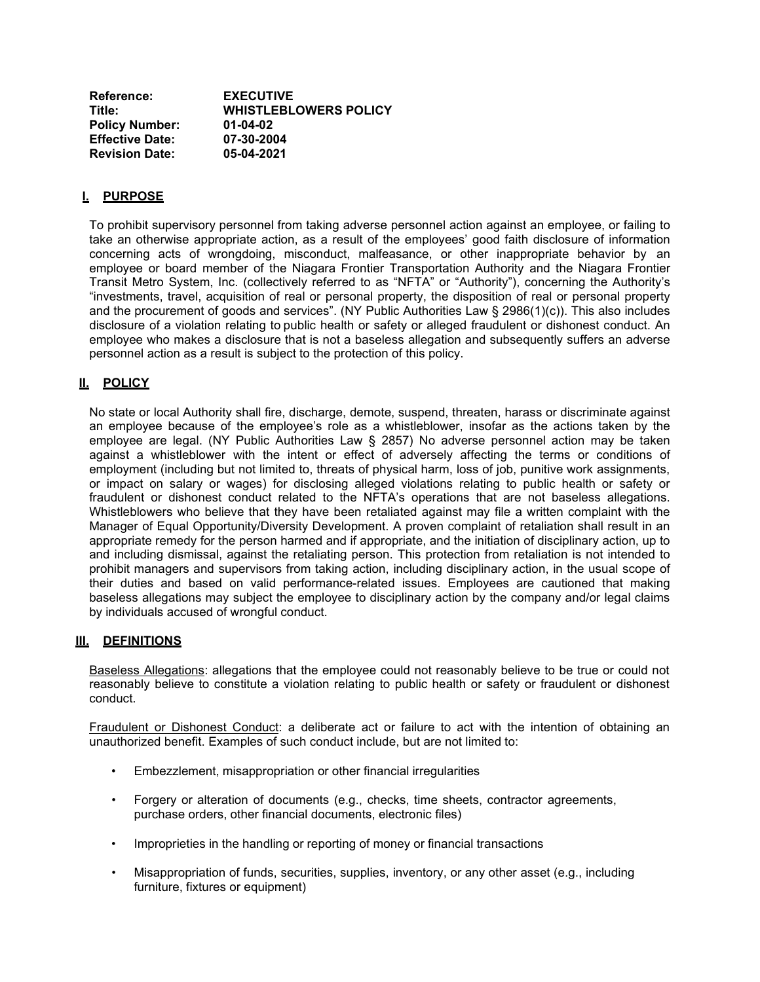| Reference:             | <b>EXECUTIVE</b>             |
|------------------------|------------------------------|
| Title:                 | <b>WHISTLEBLOWERS POLICY</b> |
| <b>Policy Number:</b>  | 01-04-02                     |
| <b>Effective Date:</b> | 07-30-2004                   |
| <b>Revision Date:</b>  | 05-04-2021                   |

## **I. PURPOSE**

To prohibit supervisory personnel from taking adverse personnel action against an employee, or failing to take an otherwise appropriate action, as a result of the employees' good faith disclosure of information concerning acts of wrongdoing, misconduct, malfeasance, or other inappropriate behavior by an employee or board member of the Niagara Frontier Transportation Authority and the Niagara Frontier Transit Metro System, Inc. (collectively referred to as "NFTA" or "Authority"), concerning the Authority's "investments, travel, acquisition of real or personal property, the disposition of real or personal property and the procurement of goods and services". (NY Public Authorities Law § 2986(1)(c)). This also includes disclosure of a violation relating to public health or safety or alleged fraudulent or dishonest conduct. An employee who makes a disclosure that is not a baseless allegation and subsequently suffers an adverse personnel action as a result is subject to the protection of this policy.

## **II. POLICY**

No state or local Authority shall fire, discharge, demote, suspend, threaten, harass or discriminate against an employee because of the employee's role as a whistleblower, insofar as the actions taken by the employee are legal. (NY Public Authorities Law § 2857) No adverse personnel action may be taken against a whistleblower with the intent or effect of adversely affecting the terms or conditions of employment (including but not limited to, threats of physical harm, loss of job, punitive work assignments, or impact on salary or wages) for disclosing alleged violations relating to public health or safety or fraudulent or dishonest conduct related to the NFTA's operations that are not baseless allegations. Whistleblowers who believe that they have been retaliated against may file a written complaint with the Manager of Equal Opportunity/Diversity Development. A proven complaint of retaliation shall result in an appropriate remedy for the person harmed and if appropriate, and the initiation of disciplinary action, up to and including dismissal, against the retaliating person. This protection from retaliation is not intended to prohibit managers and supervisors from taking action, including disciplinary action, in the usual scope of their duties and based on valid performance-related issues. Employees are cautioned that making baseless allegations may subject the employee to disciplinary action by the company and/or legal claims by individuals accused of wrongful conduct.

## **III. DEFINITIONS**

Baseless Allegations: allegations that the employee could not reasonably believe to be true or could not reasonably believe to constitute a violation relating to public health or safety or fraudulent or dishonest conduct.

Fraudulent or Dishonest Conduct: a deliberate act or failure to act with the intention of obtaining an unauthorized benefit. Examples of such conduct include, but are not limited to:

- Embezzlement, misappropriation or other financial irregularities
- Forgery or alteration of documents (e.g., checks, time sheets, contractor agreements, purchase orders, other financial documents, electronic files)
- Improprieties in the handling or reporting of money or financial transactions
- Misappropriation of funds, securities, supplies, inventory, or any other asset (e.g., including furniture, fixtures or equipment)